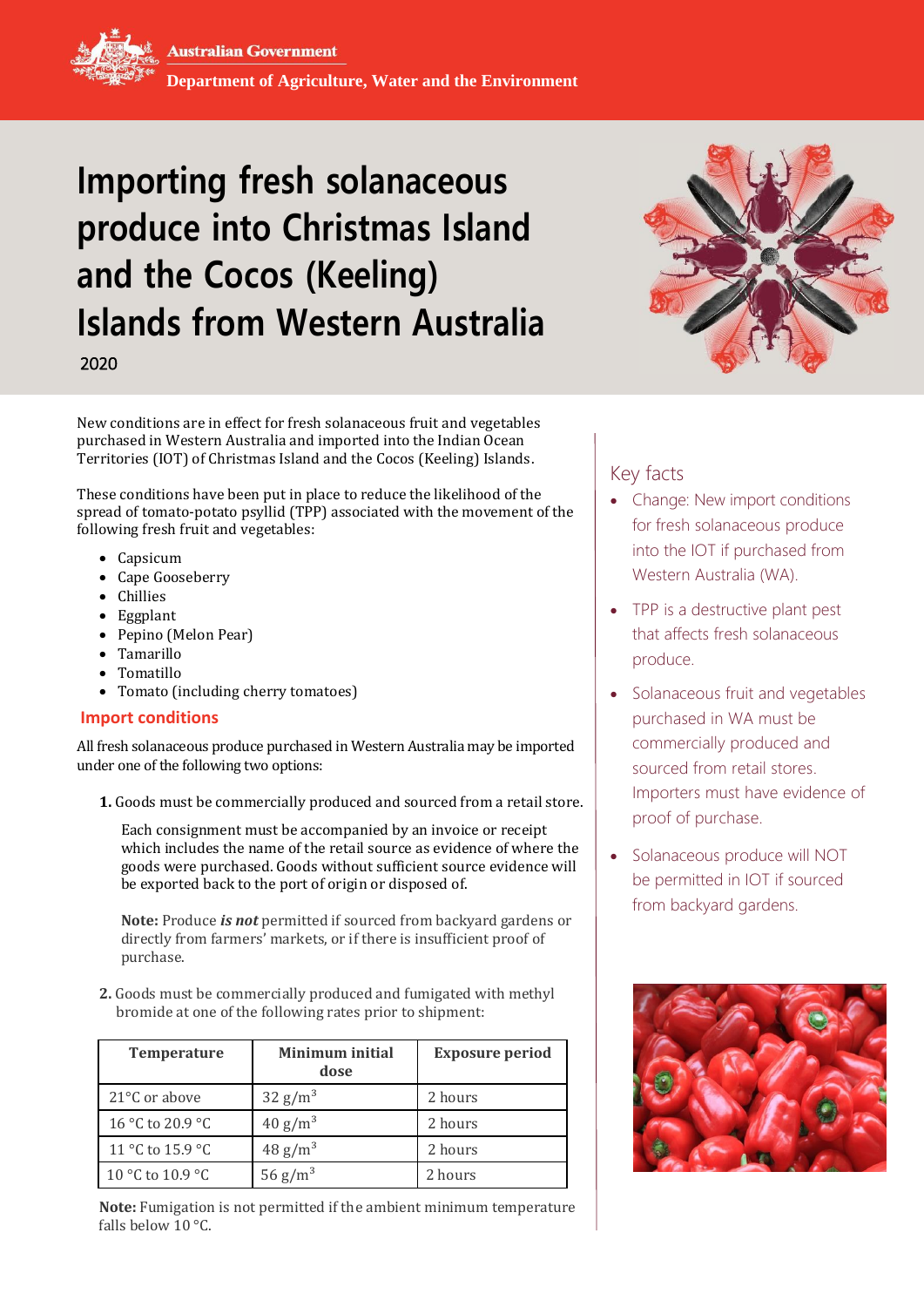# **Importing fresh solanaceous produce into Christmas Island and the Cocos (Keeling) Islands from Western Australia**

2020

New conditions are in effect for fresh solanaceous fruit and vegetables purchased in Western Australia and imported into the Indian Ocean Territories (IOT) of Christmas Island and the Cocos (Keeling) Islands.

These conditions have been put in place to reduce the likelihood of the spread of tomato-potato psyllid (TPP) associated with the movement of the following fresh fruit and vegetables:

- Capsicum
- Cape Gooseberry
- Chillies
- Eggplant
- Pepino (Melon Pear)
- Tamarillo
- Tomatillo
- Tomato (including cherry tomatoes)

## **Import conditions**

All fresh solanaceous produce purchased in Western Australia may be imported under one of the following two options:

**1.** Goods must be commercially produced and sourced from a retail store.

Each consignment must be accompanied by an invoice or receipt which includes the name of the retail source as evidence of where the goods were purchased. Goods without sufficient source evidence will be exported back to the port of origin or disposed of.

**Note:** Produce *is not* permitted if sourced from backyard gardens or directly from farmers' markets, or if there is insufficient proof of purchase.

**2.** Goods must be commercially produced and fumigated with methyl bromide at one of the following rates prior to shipment:

| <b>Temperature</b>      | Minimum initial<br>dose | <b>Exposure period</b> |
|-------------------------|-------------------------|------------------------|
| $21^{\circ}$ C or above | 32 g/m <sup>3</sup>     | 2 hours                |
| 16 °C to 20.9 °C        | 40 g/m <sup>3</sup>     | 2 hours                |
| 11 °C to 15.9 °C        | 48 g/m <sup>3</sup>     | 2 hours                |
| 10 °C to 10.9 °C        | $56 \text{ g/m}^3$      | 2 hours                |

**Note:** Fumigation is not permitted if the ambient minimum temperature falls below 10 °C.



# Key facts

- Change: New import conditions for fresh solanaceous produce into the IOT if purchased from Western Australia (WA).
- TPP is a destructive plant pest that affects fresh solanaceous produce.
- Solanaceous fruit and vegetables purchased in WA must be commercially produced and sourced from retail stores. Importers must have evidence of proof of purchase.
- Solanaceous produce will NOT be permitted in IOT if sourced from backyard gardens.